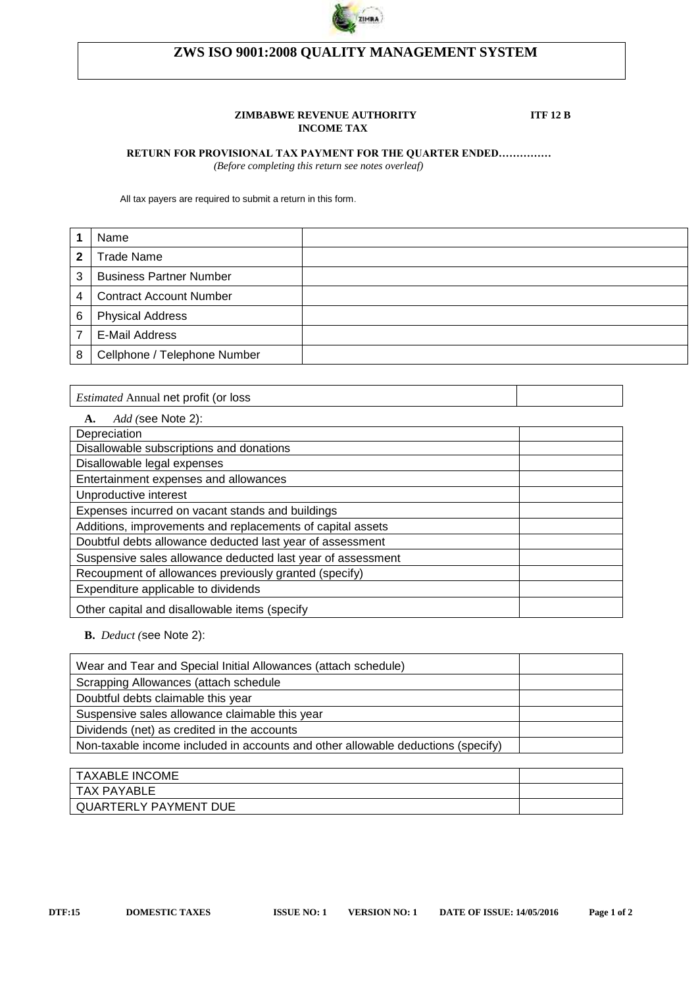

# **ZWS ISO 9001:2008 QUALITY MANAGEMENT SYSTEM**

#### **ZIMBABWE REVENUE AUTHORITY ITF 12 B INCOME TAX**

### **RETURN FOR PROVISIONAL TAX PAYMENT FOR THE QUARTER ENDED……………**

 *(Before completing this return see notes overleaf)*

All tax payers are required to submit a return in this form.

|   | Name                           |  |
|---|--------------------------------|--|
| 2 | <b>Trade Name</b>              |  |
| 3 | <b>Business Partner Number</b> |  |
| 4 | <b>Contract Account Number</b> |  |
| 6 | <b>Physical Address</b>        |  |
|   | E-Mail Address                 |  |
| 8 | Cellphone / Telephone Number   |  |

*Estimated* Annual net profit (or loss

| <i>Add</i> (see Note 2):<br>А.                              |  |
|-------------------------------------------------------------|--|
| Depreciation                                                |  |
| Disallowable subscriptions and donations                    |  |
| Disallowable legal expenses                                 |  |
| Entertainment expenses and allowances                       |  |
| Unproductive interest                                       |  |
| Expenses incurred on vacant stands and buildings            |  |
| Additions, improvements and replacements of capital assets  |  |
| Doubtful debts allowance deducted last year of assessment   |  |
| Suspensive sales allowance deducted last year of assessment |  |
| Recoupment of allowances previously granted (specify)       |  |
| Expenditure applicable to dividends                         |  |
| Other capital and disallowable items (specify               |  |

**B.** *Deduct (*see Note 2):

| <b>TAXABLE INCOME</b>        |  |
|------------------------------|--|
| TAX PAYABLE                  |  |
| <b>QUARTERLY PAYMENT DUE</b> |  |